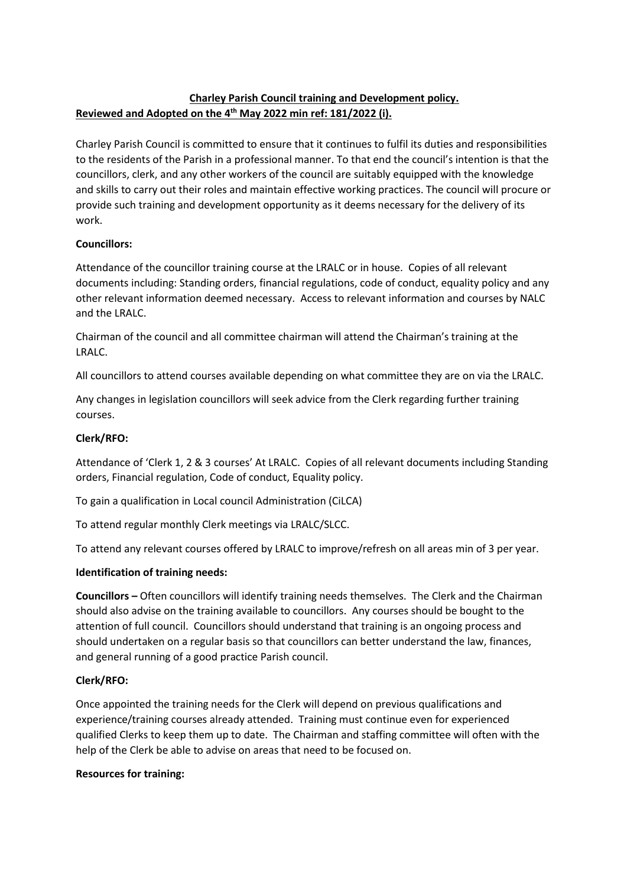# **Charley Parish Council training and Development policy. Reviewed and Adopted on the 4 th May 2022 min ref: 181/2022 (i).**

Charley Parish Council is committed to ensure that it continues to fulfil its duties and responsibilities to the residents of the Parish in a professional manner. To that end the council's intention is that the councillors, clerk, and any other workers of the council are suitably equipped with the knowledge and skills to carry out their roles and maintain effective working practices. The council will procure or provide such training and development opportunity as it deems necessary for the delivery of its work.

### **Councillors:**

Attendance of the councillor training course at the LRALC or in house. Copies of all relevant documents including: Standing orders, financial regulations, code of conduct, equality policy and any other relevant information deemed necessary. Access to relevant information and courses by NALC and the LRALC.

Chairman of the council and all committee chairman will attend the Chairman's training at the LRALC.

All councillors to attend courses available depending on what committee they are on via the LRALC.

Any changes in legislation councillors will seek advice from the Clerk regarding further training courses.

## **Clerk/RFO:**

Attendance of 'Clerk 1, 2 & 3 courses' At LRALC. Copies of all relevant documents including Standing orders, Financial regulation, Code of conduct, Equality policy.

To gain a qualification in Local council Administration (CiLCA)

To attend regular monthly Clerk meetings via LRALC/SLCC.

To attend any relevant courses offered by LRALC to improve/refresh on all areas min of 3 per year.

### **Identification of training needs:**

**Councillors –** Often councillors will identify training needs themselves. The Clerk and the Chairman should also advise on the training available to councillors. Any courses should be bought to the attention of full council. Councillors should understand that training is an ongoing process and should undertaken on a regular basis so that councillors can better understand the law, finances, and general running of a good practice Parish council.

### **Clerk/RFO:**

Once appointed the training needs for the Clerk will depend on previous qualifications and experience/training courses already attended. Training must continue even for experienced qualified Clerks to keep them up to date. The Chairman and staffing committee will often with the help of the Clerk be able to advise on areas that need to be focused on.

### **Resources for training:**